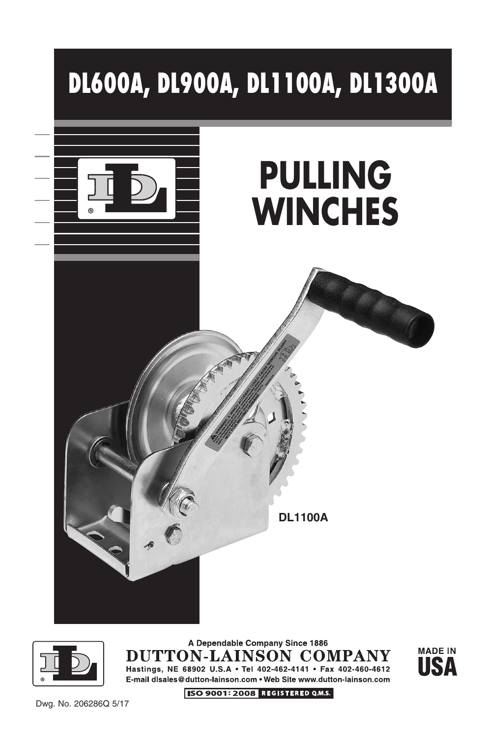



A Dependable Company Since 1886 DUTTON-LAINSON COMPANY Hastings, NE 68902 U.S.A • Tel 402-462-4141 • Fax 402-460-4612 E-mail disales@dutton-lainson.com . Web Site www.dutton-lainson.com



Dwg. No. 206286Q 5/17

ISO 9001: 2008 REGISTERED Q.M.S.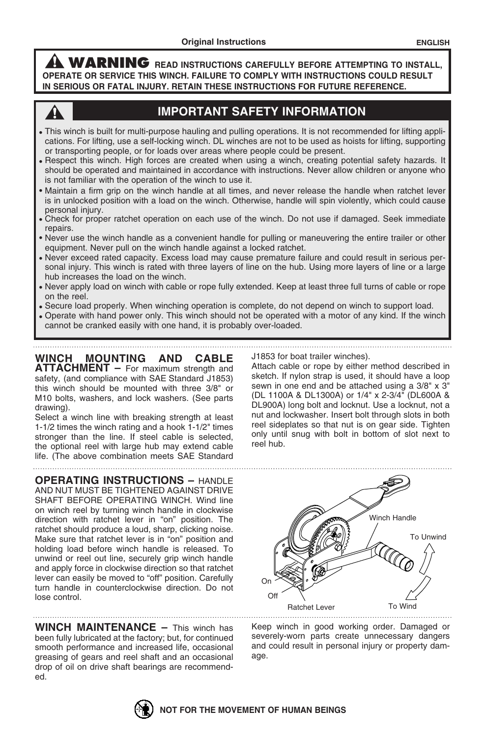**WARNING READ INSTRUCTIONS CAREFULLY BEFORE ATTEMPTING TO INSTALL, OPERATE OR SERVICE THIS WINCH. FAILURE TO COMPLY WITH INSTRUCTIONS COULD RESULT IN SERIOUS OR FATAL INJURY. RETAIN THESE INSTRUCTIONS FOR FUTURE REFERENCE.**



## **IMPORTANT SAFETY INFORMATION**

- This winch is built for multi-purpose hauling and pulling operations. It is not recommended for lifting applications. For lifting, use a self-locking winch. DL winches are not to be used as hoists for lifting, supporting or transporting people, or for loads over areas where people could be present.
- Respect this winch. High forces are created when using a winch, creating potential safety hazards. It should be operated and maintained in accordance with instructions. Never allow children or anyone who is not familiar with the operation of the winch to use it.
- Maintain a firm grip on the winch handle at all times, and never release the handle when ratchet lever is in unlocked position with a load on the winch. Otherwise, handle will spin violently, which could cause personal injury.
- Check for proper ratchet operation on each use of the winch. Do not use if damaged. Seek immediate repairs.
- Never use the winch handle as a convenient handle for pulling or maneuvering the entire trailer or other equipment. Never pull on the winch handle against a locked ratchet.
- Never exceed rated capacity. Excess load may cause premature failure and could result in serious personal injury. This winch is rated with three layers of line on the hub. Using more layers of line or a large hub increases the load on the winch.
- Never apply load on winch with cable or rope fully extended. Keep at least three full turns of cable or rope on the reel.
- Secure load properly. When winching operation is complete, do not depend on winch to support load.
- Operate with hand power only. This winch should not be operated with a motor of any kind. If the winch cannot be cranked easily with one hand, it is probably over-loaded.

**WINCH MOUNTING AND CABLE ATTACHMENT –** For maximum strength and safety, (and compliance with SAE Standard J1853) this winch should be mounted with three 3/8" or M10 bolts, washers, and lock washers. (See parts drawing).

Select a winch line with breaking strength at least 1-1/2 times the winch rating and a hook 1-1/2" times stronger than the line. If steel cable is selected, the optional reel with large hub may extend cable life. (The above combination meets SAE Standard

**OPERATING INSTRUCTIONS –** HANDLE AND NUT MUST BE TIGHTENED AGAINST DRIVE SHAFT BEFORE OPERATING WINCH. Wind line on winch reel by turning winch handle in clockwise direction with ratchet lever in "on" position. The ratchet should produce a loud, sharp, clicking noise. Make sure that ratchet lever is in "on" position and holding load before winch handle is released. To unwind or reel out line, securely grip winch handle and apply force in clockwise direction so that ratchet lever can easily be moved to "off" position. Carefully turn handle in counterclockwise direction. Do not lose control.

**WINCH MAINTENANCE –** This winch has been fully lubricated at the factory; but, for continued smooth performance and increased life, occasional greasing of gears and reel shaft and an occasional drop of oil on drive shaft bearings are recommended.

J1853 for boat trailer winches).

Attach cable or rope by either method described in sketch. If nylon strap is used, it should have a loop sewn in one end and be attached using a 3/8" x 3" (DL 1100A & DL1300A) or 1/4" x 2-3/4" (DL600A & DL900A) long bolt and locknut. Use a locknut, not a nut and lockwasher. Insert bolt through slots in both reel sideplates so that nut is on gear side. Tighten only until snug with bolt in bottom of slot next to reel hub.



Keep winch in good working order. Damaged or severely-worn parts create unnecessary dangers and could result in personal injury or property damage.

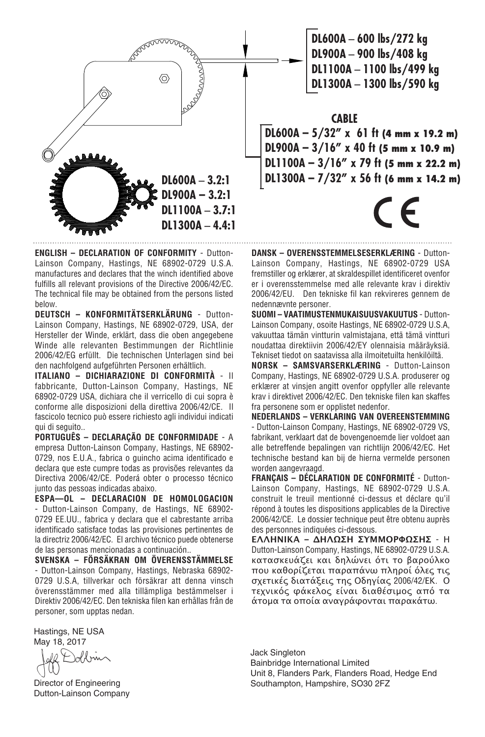

**ENGLISH – DECLARATION OF CONFORMITY** - Dutton-Lainson Company, Hastings, NE 68902-0729 U.S.A. manufactures and declares that the winch identified above fulfills all relevant provisions of the Directive 2006/42/EC. The technical file may be obtained from the persons listed below.

**DEUTSCH – KONFORMITÄTSERKLÄRUNG** - Dutton-Lainson Company, Hastings, NE 68902-0729, USA, der Hersteller der Winde, erklärt, dass die oben angegebene Winde alle relevanten Bestimmungen der Richtlinie 2006/42/EG erfüllt. Die technischen Unterlagen sind bei den nachfolgend aufgeführten Personen erhältlich.

**ITALIANO – DICHIARAZIONE DI CONFORMITÀ** - Il fabbricante, Dutton-Lainson Company, Hastings, NE 68902-0729 USA, dichiara che il verricello di cui sopra è conforme alle disposizioni della direttiva 2006/42/CE. Il fascicolo tecnico può essere richiesto agli individui indicati qui di seguito..

**PORTUGUÊS – DECLARAÇÃO DE CONFORMIDADE** - A empresa Dutton-Lainson Company, Hastings, NE 68902- 0729, nos E.U.A., fabrica o guincho acima identificado e declara que este cumpre todas as provisões relevantes da Directiva 2006/42/CE. Poderá obter o processo técnico junto das pessoas indicadas abaixo.

**ESPA—OL – DECLARACION DE HOMOLOGACION** - Dutton-Lainson Company, de Hastings, NE 68902- 0729 EE.UU., fabrica y declara que el cabrestante arriba identificado satisface todas las provisiones pertinentes de la directriz 2006/42/EC. El archivo técnico puede obtenerse de las personas mencionadas a continuación..

**SVENSKA – FÖRSÄKRAN OM ÖVERENSSTÄMMELSE** - Dutton-Lainson Company, Hastings, Nebraska 68902- 0729 U.S.A, tillverkar och försäkrar att denna vinsch överensstämmer med alla tillämpliga bestämmelser i Direktiv 2006/42/EC. Den tekniska filen kan erhållas från de personer, som upptas nedan.

Hastings, NE USA May 18, 2017

Inform

Director of Engineering Dutton-Lainson Company

**DL600A** – **600 lbs/272 kg DL900A** – **900 lbs/408 kg DL1100A** – **1100 lbs/499 kg DL1300A** – **1300 lbs/590 kg**

## **CABLE**

**DL600A – 5/32" x 61 ft (4 mm x 19.2 m) DL900A – 3/16" x 40 ft (5 mm x 10.9 m) DL1100A – 3/16" x 79 ft (5 mm x 22.2 m) DL1300A – 7/32" x 56 ft (6 mm x 14.2 m)**

E

**DANSK – OVERENSSTEMMELSESERKLÆRING** - Dutton-Lainson Company, Hastings, NE 68902-0729 USA fremstiller og erklærer, at skraldespillet identificeret ovenfor er i overensstemmelse med alle relevante krav i direktiv 2006/42/EU. Den tekniske fil kan rekvireres gennem de nedennævnte personer.

**SUOMI – VAATIMUSTENMUKAISUUSVAKUUTUS** - Dutton-Lainson Company, osoite Hastings, NE 68902-0729 U.S.A, vakuuttaa tämän vintturin valmistajana, että tämä vintturi noudattaa direktiivin 2006/42/EY olennaisia määräyksiä. Tekniset tiedot on saatavissa alla ilmoitetuilta henkilöiltä.

**NORSK – SAMSVARSERKLÆRING** - Dutton-Lainson Company, Hastings, NE 68902-0729 U.S.A. produserer og erklærer at vinsjen angitt ovenfor oppfyller alle relevante krav i direktivet 2006/42/EC. Den tekniske filen kan skaffes fra personene som er opplistet nedenfor.

**NEDERLANDS – VERKLARING VAN OVEREENSTEMMING** - Dutton-Lainson Company, Hastings, NE 68902-0729 VS, fabrikant, verklaart dat de bovengenoemde lier voldoet aan alle betreffende bepalingen van richtlijn 2006/42/EC. Het technische bestand kan bij de hierna vermelde personen worden aangevraagd.

**FRANÇAIS – DÉCLARATION DE CONFORMITÉ** - Dutton-Lainson Company, Hastings, NE 68902-0729 U.S.A. construit le treuil mentionné ci-dessus et déclare qu'il répond à toutes les dispositions applicables de la Directive 2006/42/CE. Le dossier technique peut être obtenu auprès des personnes indiquées ci-dessous.

**ΕΛΛΗΝΙΚΑ – ΔΗΛΩΣΗ ΣΥΜΜΟΡΦΩΣΗΣ** - Η Dutton-Lainson Company, Hastings, NE 68902-0729 U.S.A. κατασκευάζει και δηλώνει ότι το βαρούλκο που καθορίζεται παραπάνω πληροί όλες τις σχετικές διατάξεις της Οδηγίας 2006/42/ΕΚ. Ο τεχνικός φάκελος είναι διαθέσιμος από τα άτομα τα οποία αναγράφονται παρακάτω.

Jack Singleton Bainbridge International Limited Unit 8, Flanders Park, Flanders Road, Hedge End Southampton, Hampshire, SO30 2FZ